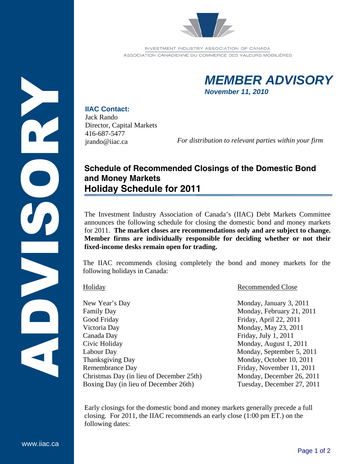

INVESTMENT INDUSTRY ASSOCIATION OF CANADA ASSOCIATION CANADIENNE DU COMMERCE DES VALEURS MOBILIÉRES



## **IIAC Contact:**

Jack Rando Director, Capital Markets 416-687-5477 jrando@iiac.ca

*For distribution to relevant parties within your firm*

## **Schedule of Recommended Closings of the Domestic Bond and Money Markets Holiday Schedule for 2011**

The Investment Industry Association of Canada's (IIAC) Debt Markets Committee announces the following schedule for closing the domestic bond and money markets for 2011. **The market closes are recommendations only and are subject to change. Member firms are individually responsible for deciding whether or not their fixed-income desks remain open for trading.** 

The IIAC recommends closing completely the bond and money markets for the following holidays in Canada:

New Year's Day Monday, January 3, 2011 Family Day **Monday, February 21, 2011** Good Friday Friday, April 22, 2011 Victoria Day Monday, May 23, 2011 Canada Day Friday, July 1, 2011 Civic Holiday **Monday, August 1, 2011** Labour Day Monday, September 5, 2011 Thanksgiving Day Monday, October 10, 2011 Remembrance Day Friday, November 11, 2011 Christmas Day (in lieu of December 25th) Monday, December 26, 2011 Boxing Day (in lieu of December 26th) Tuesday, December 27, 2011

## Holiday Recommended Close

Early closings for the domestic bond and money markets generally precede a full closing. For 2011, the IIAC recommends an early close (1:00 pm ET.) on the following dates:

www.iiac.ca